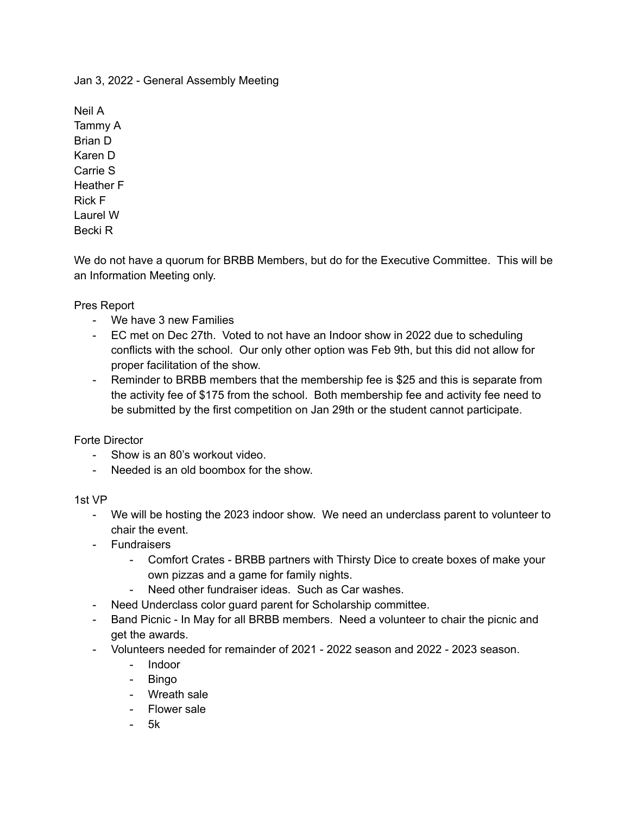Jan 3, 2022 - General Assembly Meeting

Neil A Tammy A Brian D Karen D Carrie S Heather F Rick F Laurel W Becki R

We do not have a quorum for BRBB Members, but do for the Executive Committee. This will be an Information Meeting only.

Pres Report

- We have 3 new Families
- EC met on Dec 27th. Voted to not have an Indoor show in 2022 due to scheduling conflicts with the school. Our only other option was Feb 9th, but this did not allow for proper facilitation of the show.
- Reminder to BRBB members that the membership fee is \$25 and this is separate from the activity fee of \$175 from the school. Both membership fee and activity fee need to be submitted by the first competition on Jan 29th or the student cannot participate.

Forte Director

- Show is an 80's workout video.
- Needed is an old boombox for the show.

# 1st VP

- We will be hosting the 2023 indoor show. We need an underclass parent to volunteer to chair the event.
- Fundraisers
	- Comfort Crates BRBB partners with Thirsty Dice to create boxes of make your own pizzas and a game for family nights.
	- Need other fundraiser ideas. Such as Car washes.
- Need Underclass color guard parent for Scholarship committee.
- Band Picnic In May for all BRBB members. Need a volunteer to chair the picnic and get the awards.
- Volunteers needed for remainder of 2021 2022 season and 2022 2023 season.
	- Indoor
	- Bingo
	- Wreath sale
	- Flower sale
	- 5k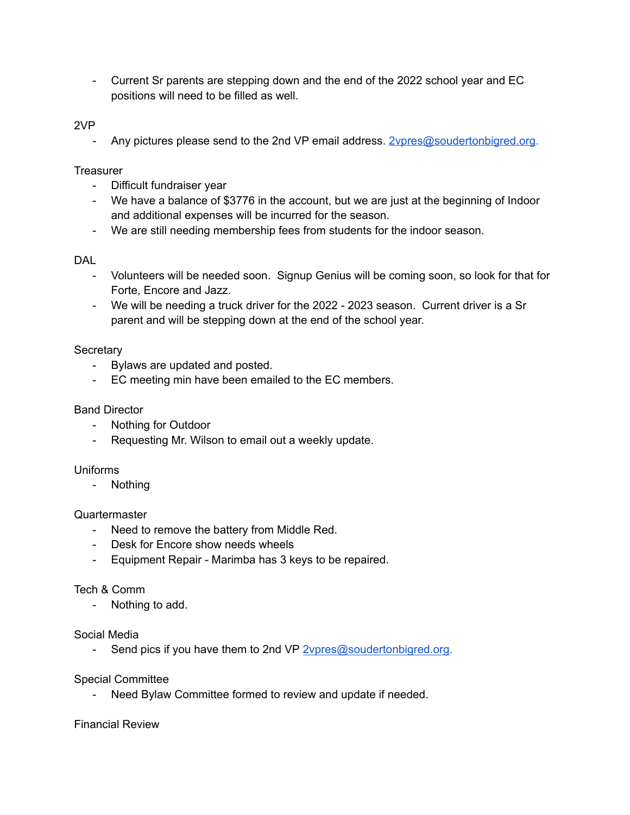- Current Sr parents are stepping down and the end of the 2022 school year and EC positions will need to be filled as well.

# 2VP

- Any pictures please send to the 2nd VP email address. [2vpres@soudertonbigred.org](mailto:2vpres@soudertonbigred.org).

### **Treasurer**

- Difficult fundraiser year
- We have a balance of \$3776 in the account, but we are just at the beginning of Indoor and additional expenses will be incurred for the season.
- We are still needing membership fees from students for the indoor season.

# DAL

- Volunteers will be needed soon. Signup Genius will be coming soon, so look for that for Forte, Encore and Jazz.
- We will be needing a truck driver for the 2022 2023 season. Current driver is a Sr parent and will be stepping down at the end of the school year.

# **Secretary**

- Bylaws are updated and posted.
- EC meeting min have been emailed to the EC members.

### Band Director

- Nothing for Outdoor
- Requesting Mr. Wilson to email out a weekly update.

#### Uniforms

- Nothing

#### Quartermaster

- Need to remove the battery from Middle Red.
- Desk for Encore show needs wheels
- Equipment Repair Marimba has 3 keys to be repaired.

#### Tech & Comm

- Nothing to add.

### Social Media

- Send pics if you have them to 2nd VP [2vpres@soudertonbigred.org.](mailto:2vpres@soudertonbigred.org)

#### Special Committee

- Need Bylaw Committee formed to review and update if needed.

# Financial Review